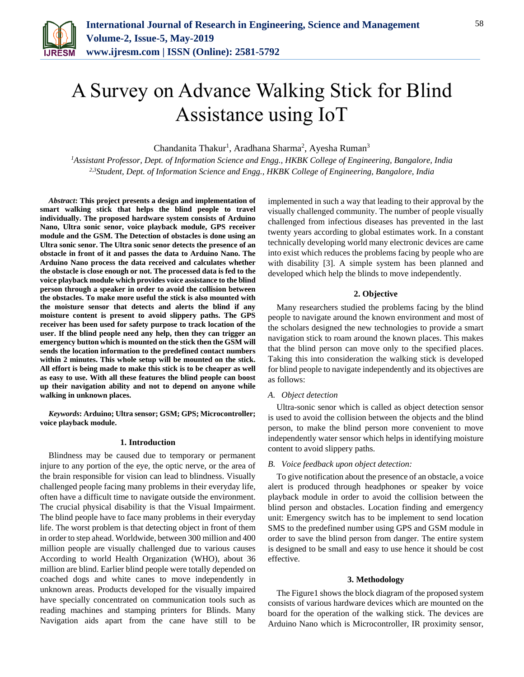

# A Survey on Advance Walking Stick for Blind Assistance using IoT

Chandanita Thakur<sup>1</sup>, Aradhana Sharma<sup>2</sup>, Ayesha Ruman<sup>3</sup>

*<sup>1</sup>Assistant Professor, Dept. of Information Science and Engg., HKBK College of Engineering, Bangalore, India 2,3Student, Dept. of Information Science and Engg., HKBK College of Engineering, Bangalore, India*

*Abstract***: This project presents a design and implementation of smart walking stick that helps the blind people to travel individually. The proposed hardware system consists of Arduino Nano, Ultra sonic senor, voice playback module, GPS receiver module and the GSM. The Detection of obstacles is done using an Ultra sonic senor. The Ultra sonic senor detects the presence of an obstacle in front of it and passes the data to Arduino Nano. The Arduino Nano process the data received and calculates whether the obstacle is close enough or not. The processed data is fed to the voice playback module which provides voice assistance to the blind person through a speaker in order to avoid the collision between the obstacles. To make more useful the stick is also mounted with the moisture sensor that detects and alerts the blind if any moisture content is present to avoid slippery paths. The GPS receiver has been used for safety purpose to track location of the user. If the blind people need any help, then they can trigger an emergency button which is mounted on the stick then the GSM will sends the location information to the predefined contact numbers within 2 minutes. This whole setup will be mounted on the stick. All effort is being made to make this stick is to be cheaper as well as easy to use. With all these features the blind people can boost up their navigation ability and not to depend on anyone while walking in unknown places.**

*Keywords***: Arduino; Ultra sensor; GSM; GPS; Microcontroller; voice playback module.**

# **1. Introduction**

Blindness may be caused due to temporary or permanent injure to any portion of the eye, the optic nerve, or the area of the brain responsible for vision can lead to blindness. Visually challenged people facing many problems in their everyday life, often have a difficult time to navigate outside the environment. The crucial physical disability is that the Visual Impairment. The blind people have to face many problems in their everyday life. The worst problem is that detecting object in front of them in order to step ahead. Worldwide, between 300 million and 400 million people are visually challenged due to various causes According to world Health Organization (WHO), about 36 million are blind. Earlier blind people were totally depended on coached dogs and white canes to move independently in unknown areas. Products developed for the visually impaired have specially concentrated on communication tools such as reading machines and stamping printers for Blinds. Many Navigation aids apart from the cane have still to be

implemented in such a way that leading to their approval by the visually challenged community. The number of people visually challenged from infectious diseases has prevented in the last twenty years according to global estimates work. In a constant technically developing world many electronic devices are came into exist which reduces the problems facing by people who are with disability [3]. A simple system has been planned and developed which help the blinds to move independently.

# **2. Objective**

Many researchers studied the problems facing by the blind people to navigate around the known environment and most of the scholars designed the new technologies to provide a smart navigation stick to roam around the known places. This makes that the blind person can move only to the specified places. Taking this into consideration the walking stick is developed for blind people to navigate independently and its objectives are as follows:

# *A. Object detection*

Ultra-sonic senor which is called as object detection sensor is used to avoid the collision between the objects and the blind person, to make the blind person more convenient to move independently water sensor which helps in identifying moisture content to avoid slippery paths.

#### *B. Voice feedback upon object detection:*

To give notification about the presence of an obstacle, a voice alert is produced through headphones or speaker by voice playback module in order to avoid the collision between the blind person and obstacles. Location finding and emergency unit: Emergency switch has to be implement to send location SMS to the predefined number using GPS and GSM module in order to save the blind person from danger. The entire system is designed to be small and easy to use hence it should be cost effective.

#### **3. Methodology**

The Figure1 shows the block diagram of the proposed system consists of various hardware devices which are mounted on the board for the operation of the walking stick. The devices are Arduino Nano which is Microcontroller, IR proximity sensor,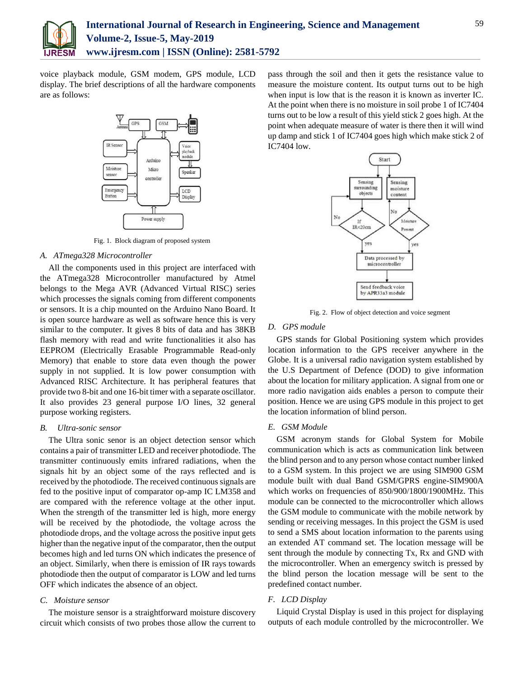

voice playback module, GSM modem, GPS module, LCD display. The brief descriptions of all the hardware components are as follows:



Fig. 1. Block diagram of proposed system

### *A. ATmega328 Microcontroller*

All the components used in this project are interfaced with the ATmega328 Microcontroller manufactured by Atmel belongs to the Mega AVR (Advanced Virtual RISC) series which processes the signals coming from different components or sensors. It is a chip mounted on the Arduino Nano Board. It is open source hardware as well as software hence this is very similar to the computer. It gives 8 bits of data and has 38KB flash memory with read and write functionalities it also has EEPROM (Electrically Erasable Programmable Read-only Memory) that enable to store data even though the power supply in not supplied. It is low power consumption with Advanced RISC Architecture. It has peripheral features that provide two 8-bit and one 16-bit timer with a separate oscillator. It also provides 23 general purpose I/O lines, 32 general purpose working registers.

#### *B. Ultra-sonic sensor*

The Ultra sonic senor is an object detection sensor which contains a pair of transmitter LED and receiver photodiode. The transmitter continuously emits infrared radiations, when the signals hit by an object some of the rays reflected and is received by the photodiode. The received continuous signals are fed to the positive input of comparator op-amp IC LM358 and are compared with the reference voltage at the other input. When the strength of the transmitter led is high, more energy will be received by the photodiode, the voltage across the photodiode drops, and the voltage across the positive input gets higher than the negative input of the comparator, then the output becomes high and led turns ON which indicates the presence of an object. Similarly, when there is emission of IR rays towards photodiode then the output of comparator is LOW and led turns OFF which indicates the absence of an object.

# *C. Moisture sensor*

The moisture sensor is a straightforward moisture discovery circuit which consists of two probes those allow the current to pass through the soil and then it gets the resistance value to measure the moisture content. Its output turns out to be high when input is low that is the reason it is known as inverter IC. At the point when there is no moisture in soil probe 1 of IC7404 turns out to be low a result of this yield stick 2 goes high. At the point when adequate measure of water is there then it will wind up damp and stick 1 of IC7404 goes high which make stick 2 of IC7404 low.



Fig. 2. Flow of object detection and voice segment

### *D. GPS module*

GPS stands for Global Positioning system which provides location information to the GPS receiver anywhere in the Globe. It is a universal radio navigation system established by the U.S Department of Defence (DOD) to give information about the location for military application. A signal from one or more radio navigation aids enables a person to compute their position. Hence we are using GPS module in this project to get the location information of blind person.

## *E. GSM Module*

GSM acronym stands for Global System for Mobile communication which is acts as communication link between the blind person and to any person whose contact number linked to a GSM system. In this project we are using SIM900 GSM module built with dual Band GSM/GPRS engine-SIM900A which works on frequencies of 850/900/1800/1900MHz. This module can be connected to the microcontroller which allows the GSM module to communicate with the mobile network by sending or receiving messages. In this project the GSM is used to send a SMS about location information to the parents using an extended AT command set. The location message will be sent through the module by connecting Tx, Rx and GND with the microcontroller. When an emergency switch is pressed by the blind person the location message will be sent to the predefined contact number.

## *F. LCD Display*

Liquid Crystal Display is used in this project for displaying outputs of each module controlled by the microcontroller. We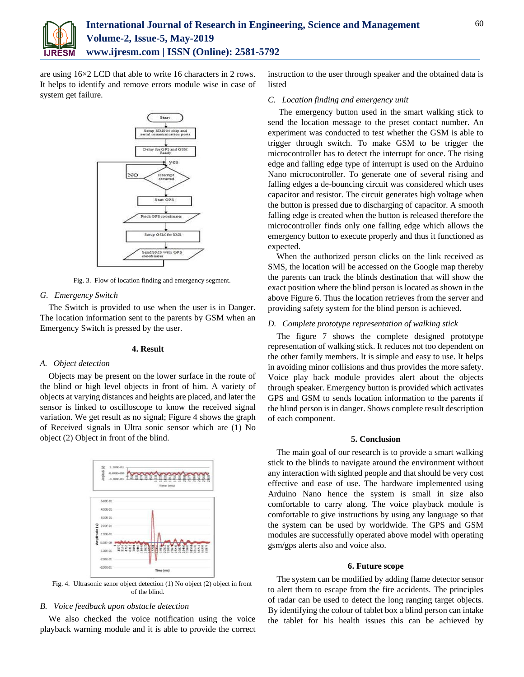

are using 16×2 LCD that able to write 16 characters in 2 rows. It helps to identify and remove errors module wise in case of system get failure.



Fig. 3. Flow of location finding and emergency segment.

# *G. Emergency Switch*

The Switch is provided to use when the user is in Danger. The location information sent to the parents by GSM when an Emergency Switch is pressed by the user.

## **4. Result**

#### *A. Object detection*

Objects may be present on the lower surface in the route of the blind or high level objects in front of him. A variety of objects at varying distances and heights are placed, and later the sensor is linked to oscilloscope to know the received signal variation. We get result as no signal; Figure 4 shows the graph of Received signals in Ultra sonic sensor which are (1) No object (2) Object in front of the blind.



Fig. 4. Ultrasonic senor object detection (1) No object (2) object in front of the blind.

### *B. Voice feedback upon obstacle detection*

We also checked the voice notification using the voice playback warning module and it is able to provide the correct instruction to the user through speaker and the obtained data is listed

# *C. Location finding and emergency unit*

The emergency button used in the smart walking stick to send the location message to the preset contact number. An experiment was conducted to test whether the GSM is able to trigger through switch. To make GSM to be trigger the microcontroller has to detect the interrupt for once. The rising edge and falling edge type of interrupt is used on the Arduino Nano microcontroller. To generate one of several rising and falling edges a de-bouncing circuit was considered which uses capacitor and resistor. The circuit generates high voltage when the button is pressed due to discharging of capacitor. A smooth falling edge is created when the button is released therefore the microcontroller finds only one falling edge which allows the emergency button to execute properly and thus it functioned as expected.

When the authorized person clicks on the link received as SMS, the location will be accessed on the Google map thereby the parents can track the blinds destination that will show the exact position where the blind person is located as shown in the above Figure 6. Thus the location retrieves from the server and providing safety system for the blind person is achieved.

# *D. Complete prototype representation of walking stick*

The figure 7 shows the complete designed prototype representation of walking stick. It reduces not too dependent on the other family members. It is simple and easy to use. It helps in avoiding minor collisions and thus provides the more safety. Voice play back module provides alert about the objects through speaker. Emergency button is provided which activates GPS and GSM to sends location information to the parents if the blind person is in danger. Shows complete result description of each component.

#### **5. Conclusion**

The main goal of our research is to provide a smart walking stick to the blinds to navigate around the environment without any interaction with sighted people and that should be very cost effective and ease of use. The hardware implemented using Arduino Nano hence the system is small in size also comfortable to carry along. The voice playback module is comfortable to give instructions by using any language so that the system can be used by worldwide. The GPS and GSM modules are successfully operated above model with operating gsm/gps alerts also and voice also.

#### **6. Future scope**

The system can be modified by adding flame detector sensor to alert them to escape from the fire accidents. The principles of radar can be used to detect the long ranging target objects. By identifying the colour of tablet box a blind person can intake the tablet for his health issues this can be achieved by